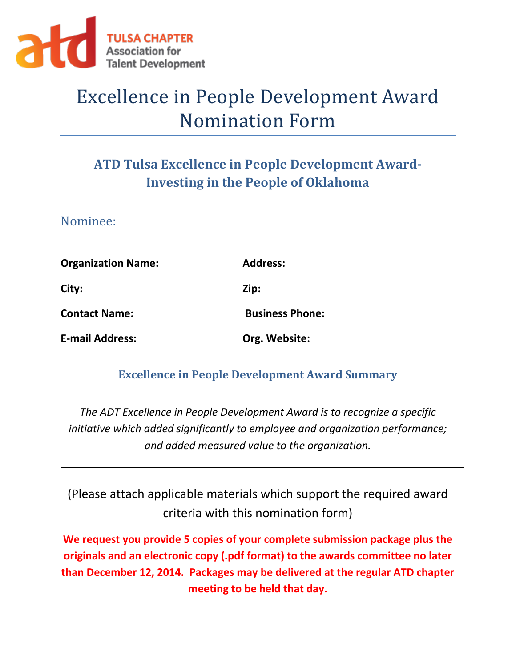

# Excellence in People Development Award Nomination Form

## **ATD Tulsa Excellence in People Development Award-Investing in the People of Oklahoma**

Nominee:

| <b>Organization Name:</b> | <b>Address:</b>        |
|---------------------------|------------------------|
| City:                     | Zip:                   |
| <b>Contact Name:</b>      | <b>Business Phone:</b> |
| <b>E-mail Address:</b>    | Org. Website:          |

#### **Excellence in People Development Award Summary**

*The ADT Excellence in People Development Award is to recognize a specific initiative which added significantly to employee and organization performance; and added measured value to the organization.*

(Please attach applicable materials which support the required award criteria with this nomination form)

**We request you provide 5 copies of your complete submission package plus the originals and an electronic copy (.pdf format) to the awards committee no later than December 12, 2014. Packages may be delivered at the regular ATD chapter meeting to be held that day.**